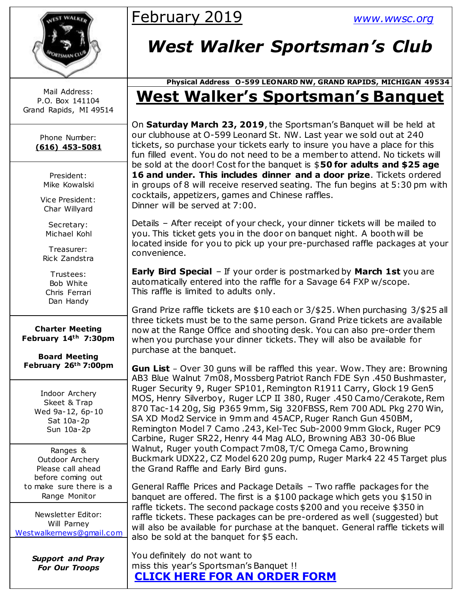

Mail Address: P.O. Box 141104 Grand Rapids, MI 49514

> Phone Number: **(616) 453-5081**

> > President: Mike Kowalski

Vice President: Char Willyard

Secretary: Michael Kohl

Treasurer: Rick Zandstra

Trustees: Bob White Chris Ferrari Dan Handy

**Charter Meeting February 14th 7:30pm**

**Board Meeting February 26th 7:00pm**

> Indoor Archery Skeet & Trap Wed 9a-12, 6p-10 Sat 10a-2p Sun 10a-2p

Ranges & Outdoor Archery Please call ahead before coming out to make sure there is a Range Monitor

Newsletter Editor: Will Parney [Westwalkernews@gmail.com](mailto:Westwalkernews@gmail.com)

> *Support and Pray For Our Troops*

# February 2019 *[www.wwsc.org](http://www.wwsc.org/)*

# *West Walker Sportsman's Club*

### **Physical Address O-599 LEONARD NW, GRAND RAPIDS, MICHIGAN 49534 West Walker's Sportsman's Banquet**

On **Saturday March 23, 2019**, the Sportsman's Banquet will be held at our clubhouse at O-599 Leonard St. NW. Last year we sold out at 240 tickets, so purchase your tickets early to insure you have a place for this fun filled event. You do not need to be a member to attend. No tickets will be sold at the door! Cost for the banquet is \$**50 for adults and \$25 age 16 and under. This includes dinner and a door prize**. Tickets ordered in groups of 8 will receive reserved seating. The fun begins at 5:30 pm with cocktails, appetizers, games and Chinese raffles. Dinner will be served at 7:00.

Details – After receipt of your check, your dinner tickets will be mailed to you. This ticket gets you in the door on banquet night. A booth will be located inside for you to pick up your pre-purchased raffle packages at your convenience.

**Early Bird Special** – If your order is postmarked by **March 1st** you are automatically entered into the raffle for a Savage 64 FXP w/scope. This raffle is limited to adults only.

Grand Prize raffle tickets are \$10 each or 3/\$25. When purchasing 3/\$25 all three tickets must be to the same person. Grand Prize tickets are available now at the Range Office and shooting desk. You can also pre-order them when you purchase your dinner tickets. They will also be available for purchase at the banquet.

**Gun List** – Over 30 guns will be raffled this year. Wow. They are: Browning AB3 Blue Walnut 7m08, Mossberg Patriot Ranch FDE Syn .450 Bushmaster, Ruger Security 9, Ruger SP101, Remington R1911 Carry, Glock 19 Gen5 MOS, Henry Silverboy, Ruger LCP II 380, Ruger .450 Camo/Cerakote, Rem 870 Tac-14 20g, Sig P365 9mm, Sig 320FBSS, Rem 700 ADL Pkg 270 Win, SA XD Mod2 Service in 9mm and 45ACP, Ruger Ranch Gun 450BM, Remington Model 7 Camo .243, Kel-Tec Sub-2000 9mm Glock, Ruger PC9 Carbine, Ruger SR22, Henry 44 Mag ALO, Browning AB3 30-06 Blue Walnut, Ruger youth Compact 7m08, T/C Omega Camo, Browning Buckmark UDX22, CZ Model 620 20g pump, Ruger Mark4 22 45 Target plus the Grand Raffle and Early Bird guns.

General Raffle Prices and Package Details – Two raffle packages for the banquet are offered. The first is a \$100 package which gets you \$150 in raffle tickets. The second package costs \$200 and you receive \$350 in raffle tickets. These packages can be pre-ordered as well (suggested) but will also be available for purchase at the banquet. General raffle tickets will also be sold at the banquet for \$5 each.

You definitely do not want to miss this year's Sportsman's Banquet !! **[CLICK HERE FOR AN ORDER FORM](http://www.wwsc.org/img/archives/2019/2019SBOrderForm.pdf)**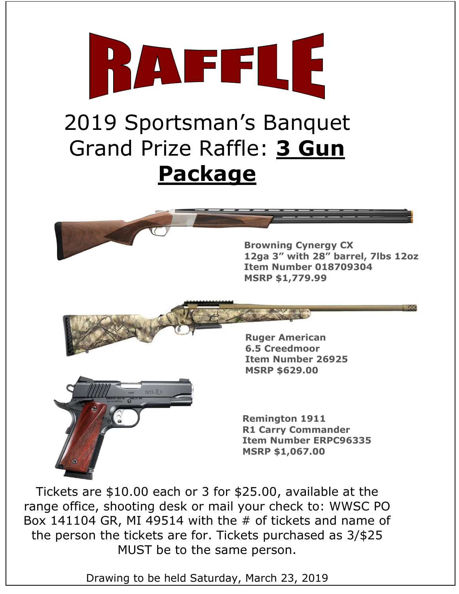

**Remington 1911 R1 Carry Commander Item Number ERPC96335 MSRP \$1,067.00**

Tickets are \$10.00 each or 3 for \$25.00, available at the range office, shooting desk or mail your check to: WWSC PO Box 141104 GR, MI 49514 with the  $#$  of tickets and name of the person the tickets are for. Tickets purchased as 3/\$25 MUST be to the same person.

Drawing to be held Saturday, March 23, 2019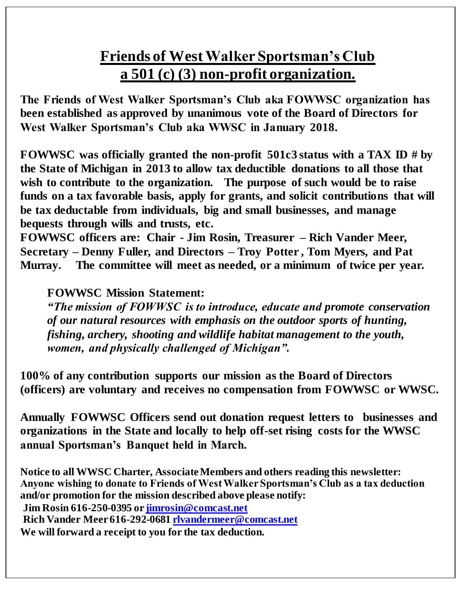# **Friends of West Walker Sportsman's Club a 501 (c) (3) non-profit organization.**

**The Friends of West Walker Sportsman's Club aka FOWWSC organization has been established as approved by unanimous vote of the Board of Directors for West Walker Sportsman's Club aka WWSC in January 2018.** 

**FOWWSC was officially granted the non-profit 501c3 status with a TAX ID # by the State of Michigan in 2013 to allow tax deductible donations to all those that wish to contribute to the organization. The purpose of such would be to raise funds on a tax favorable basis, apply for grants, and solicit contributions that will be tax deductable from individuals, big and small businesses, and manage bequests through wills and trusts, etc.**

**FOWWSC officers are: Chair - Jim Rosin, Treasurer – Rich Vander Meer, Secretary – Denny Fuller, and Directors – Troy Potter , Tom Myers, and Pat Murray. The committee will meet as needed, or a minimum of twice per year.** 

### **FOWWSC Mission Statement:**

*"The mission of FOWWSC is to introduce, educate and promote conservation of our natural resources with emphasis on the outdoor sports of hunting, fishing, archery, shooting and wildlife habitat management to the youth, women, and physically challenged of Michigan".*

**100% of any contribution supports our mission as the Board of Directors (officers) are voluntary and receives no compensation from FOWWSC or WWSC.**

**Annually FOWWSC Officers send out donation request letters to businesses and organizations in the State and locally to help off-set rising costs for the WWSC annual Sportsman's Banquet held in March.** 

**Notice to all WWSC Charter, Associate Members and others reading this newsletter: Anyone wishing to donate to Friends of West Walker Sportsman's Club as a tax deduction and/or promotion for the mission described above please notify: Jim Rosin 616-250-0395 o[r jimrosin@comcast.net](mailto:jimrosin@comcast.net) Rich Vander Meer 616-292-068[1 rlvandermeer@comcast.net](mailto:rlvandermeer@comcast.net) We will forward a receipt to you for the tax deduction.**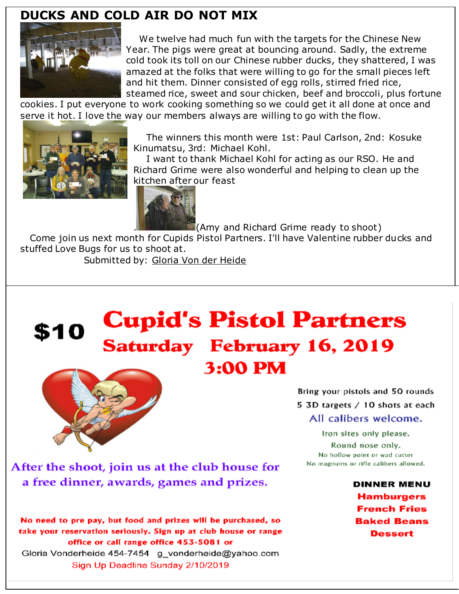### **DUCKS AND COLD AIR DO NOT MIX**



We twelve had much fun with the targets for the Chinese New Year. The pigs were great at bouncing around. Sadly, the extreme cold took its toll on our Chinese rubber ducks, they shattered, I was amazed at the folks that were willing to go for the small pieces left and hit them. Dinner consisted of egg rolls, stirred fried rice, steamed rice, sweet and sour chicken, beef and broccoli, plus fortune

cookies. I put everyone to work cooking something so we could get it all done at once and serve it hot. I love the way our members always are willing to go with the flow.



The winners this month were 1st: Paul Carlson, 2nd: Kosuke Kinumatsu, 3rd: Michael Kohl.

I want to thank Michael Kohl for acting as our RSO. He and Richard Grime were also wonderful and helping to clean up the kitchen after our feast



. (Amy and Richard Grime ready to shoot)

Come join us next month for Cupids Pistol Partners. I'll have Valentine rubber ducks and stuffed Love Bugs for us to shoot at.

Submitted by: Gloria Von der Heide

# **Cupid's Pistol Partners** \$10 **Saturday February 16, 2019** 3:00 PM



Bring your pistols and 50 rounds 5 3D targets / 10 shots at each All calibers welcome.

Iron sites only please. Round nose only. No hollow point or wad cutter No magnums or rifle calibers allowed.

> **DINNER MENU Hamburgers French Fries Baked Beans Dessert**

After the shoot, join us at the club house for a free dinner, awards, games and prizes.

No need to pre pay, but food and prizes will be purchased, so take your reservation seriously. Sign up at club house or range office or call range office 453-5081 or Gloria Vonderheide 454-7454 g\_vonderheide@yahoo.com Sign Up Deadline Sunday 2/10/2019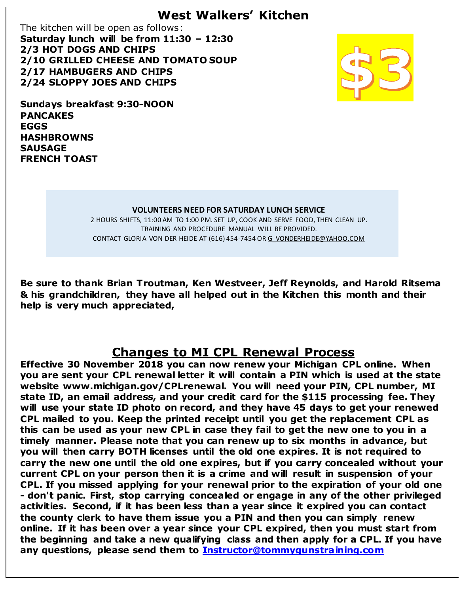### **West Walkers' Kitchen**

The kitchen will be open as follows: **Saturday lunch will be from 11:30 – 12:30 2/3 HOT DOGS AND CHIPS 2/10 GRILLED CHEESE AND TOMATO SOUP 2/17 HAMBUGERS AND CHIPS 2/24 SLOPPY JOES AND CHIPS**



**Sundays breakfast 9:30-NOON PANCAKES EGGS HASHBROWNS SAUSAGE FRENCH TOAST**

#### **VOLUNTEERS NEED FOR SATURDAY LUNCH SERVICE**

2 HOURS SHIFTS, 11:00 AM TO 1:00 PM. SET UP, COOK AND SERVE FOOD, THEN CLEAN UP. TRAINING AND PROCEDURE MANUAL WILL BE PROVIDED. CONTACT GLORIA VON DER HEIDE AT (616) 454-7454 O[R G\\_VONDERHEIDE@YAHOO.COM](mailto:g_vonderheide@yahoo.coM)

**Be sure to thank Brian Troutman, Ken Westveer, Jeff Reynolds, and Harold Ritsema & his grandchildren, they have all helped out in the Kitchen this month and their help is very much appreciated,**

### **Changes to MI CPL Renewal Process**

**Effective 30 November 2018 you can now renew your Michigan CPL online. When you are sent your CPL renewal letter it will contain a PIN which is used at the state website www.michigan.gov/CPLrenewal. You will need your PIN, CPL number, MI state ID, an email address, and your credit card for the \$115 processing fee. They will use your state ID photo on record, and they have 45 days to get your renewed CPL mailed to you. Keep the printed receipt until you get the replacement CPL as this can be used as your new CPL in case they fail to get the new one to you in a timely manner. Please note that you can renew up to six months in advance, but you will then carry BOTH licenses until the old one expires. It is not required to carry the new one until the old one expires, but if you carry concealed without your current CPL on your person then it is a crime and will result in suspension of your CPL. If you missed applying for your renewal prior to the expiration of your old one - don't panic. First, stop carrying concealed or engage in any of the other privileged activities. Second, if it has been less than a year since it expired you can contact the county clerk to have them issue you a PIN and then you can simply renew online. If it has been over a year since your CPL expired, then you must start from the beginning and take a new qualifying class and then apply for a CPL. If you have any questions, please send them to [Instructor@tommygunstraining.com](mailto:Instructor@tommygunstraining.com)**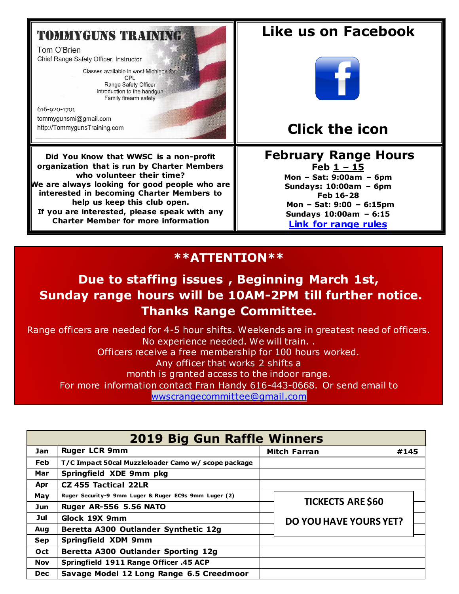### **TOMMYGUNS TRAINING:**

Tom O'Brien Chief Range Safety Officer, Instructor

> Classes available in west Michigan for: CPL Range Safety Officer Introduction to the handgun Family firearm safety

616-920-1701 tommygunsmi@gmail.com http://TommygunsTraining.com

**Did You Know that WWSC is a non-profit organization that is run by Charter Members who volunteer their time? We are always looking for good people who are interested in becoming Charter Members to help us keep this club open. If you are interested, please speak with any Charter Member for more information**

## **Like us on Facebook**



## **Click the icon**

#### **Februar[y](https://creativecommons.org/licenses/by-sa/3.0/) Range Hours Feb 1 – 15 Mon – Sat: 9:00am – 6pm**

**Sundays: 10:00am – 6pm Feb 16-28 Mon – Sat: 9:00 – 6:15pm Sundays 10:00am – 6:15 [Link for range rules](http://www.wwsc.org/img/ranges/RangeRules.pdf)**

### **\*\*ATTENTION\*\***

### **Due to staffing issues , Beginning March 1st, Sunday range hours will be 10AM-2PM till further notice. Thanks Range Committee.**

Range officers are needed for 4-5 hour shifts. Weekends are in greatest need of officers. No experience needed. We will train. . Officers receive a free membership for 100 hours worked. Any officer that works 2 shifts a month is granted access to the indoor range. For more information contact Fran Handy 616-443-0668. Or send email to [wwscrangecommittee@gmail.com](mailto:wwscrangecommittee@gmail.com)

| <b>2019 Big Gun Raffle Winners</b> |                                                       |                             |                               |  |  |  |  |  |  |
|------------------------------------|-------------------------------------------------------|-----------------------------|-------------------------------|--|--|--|--|--|--|
| <b>Jan</b>                         | <b>Ruger LCR 9mm</b>                                  | <b>Mitch Farran</b><br>#145 |                               |  |  |  |  |  |  |
| <b>Feb</b>                         | T/C Impact 50cal Muzzleloader Camo w/ scope package   |                             |                               |  |  |  |  |  |  |
| Mar                                | Springfield XDE 9mm pkg                               |                             |                               |  |  |  |  |  |  |
| Apr                                | <b>CZ 455 Tactical 22LR</b>                           |                             |                               |  |  |  |  |  |  |
| May                                | Ruger Security-9 9mm Luger & Ruger EC9s 9mm Luger (2) |                             |                               |  |  |  |  |  |  |
| Jun.                               | <b>Ruger AR-556 5.56 NATO</b>                         |                             | <b>TICKECTS ARE \$60</b>      |  |  |  |  |  |  |
| Jul                                | Glock 19X 9mm                                         |                             | <b>DO YOU HAVE YOURS YET?</b> |  |  |  |  |  |  |
| Aug                                | Beretta A300 Outlander Synthetic 12g                  |                             |                               |  |  |  |  |  |  |
| <b>Sep</b>                         | <b>Springfield XDM 9mm</b>                            |                             |                               |  |  |  |  |  |  |
| Oct                                | Beretta A300 Outlander Sporting 12g                   |                             |                               |  |  |  |  |  |  |
| Nov                                | Springfield 1911 Range Officer .45 ACP                |                             |                               |  |  |  |  |  |  |
| <b>Dec</b>                         | Savage Model 12 Long Range 6.5 Creedmoor              |                             |                               |  |  |  |  |  |  |